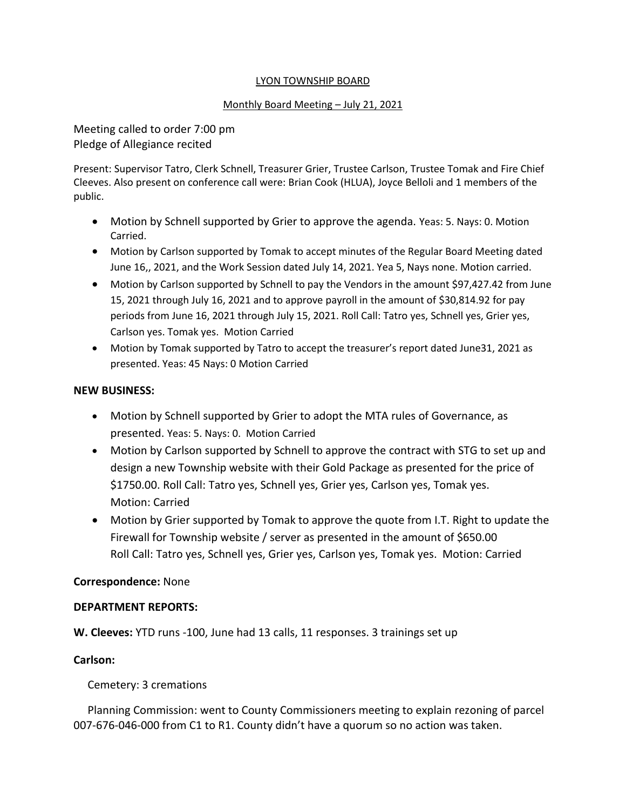### LYON TOWNSHIP BOARD

### Monthly Board Meeting – July 21, 2021

Meeting called to order 7:00 pm Pledge of Allegiance recited

Present: Supervisor Tatro, Clerk Schnell, Treasurer Grier, Trustee Carlson, Trustee Tomak and Fire Chief Cleeves. Also present on conference call were: Brian Cook (HLUA), Joyce Belloli and 1 members of the public.

- Motion by Schnell supported by Grier to approve the agenda. Yeas: 5. Nays: 0. Motion Carried.
- Motion by Carlson supported by Tomak to accept minutes of the Regular Board Meeting dated June 16,, 2021, and the Work Session dated July 14, 2021. Yea 5, Nays none. Motion carried.
- Motion by Carlson supported by Schnell to pay the Vendors in the amount \$97,427.42 from June 15, 2021 through July 16, 2021 and to approve payroll in the amount of \$30,814.92 for pay periods from June 16, 2021 through July 15, 2021. Roll Call: Tatro yes, Schnell yes, Grier yes, Carlson yes. Tomak yes. Motion Carried
- Motion by Tomak supported by Tatro to accept the treasurer's report dated June31, 2021 as presented. Yeas: 45 Nays: 0 Motion Carried

### **NEW BUSINESS:**

- Motion by Schnell supported by Grier to adopt the MTA rules of Governance, as presented. Yeas: 5. Nays: 0. Motion Carried
- Motion by Carlson supported by Schnell to approve the contract with STG to set up and design a new Township website with their Gold Package as presented for the price of \$1750.00. Roll Call: Tatro yes, Schnell yes, Grier yes, Carlson yes, Tomak yes. Motion: Carried
- Motion by Grier supported by Tomak to approve the quote from I.T. Right to update the Firewall for Township website / server as presented in the amount of \$650.00 Roll Call: Tatro yes, Schnell yes, Grier yes, Carlson yes, Tomak yes. Motion: Carried

### **Correspondence:** None

### **DEPARTMENT REPORTS:**

**W. Cleeves:** YTD runs -100, June had 13 calls, 11 responses. 3 trainings set up

# **Carlson:**

Cemetery: 3 cremations

 Planning Commission: went to County Commissioners meeting to explain rezoning of parcel 007-676-046-000 from C1 to R1. County didn't have a quorum so no action was taken.